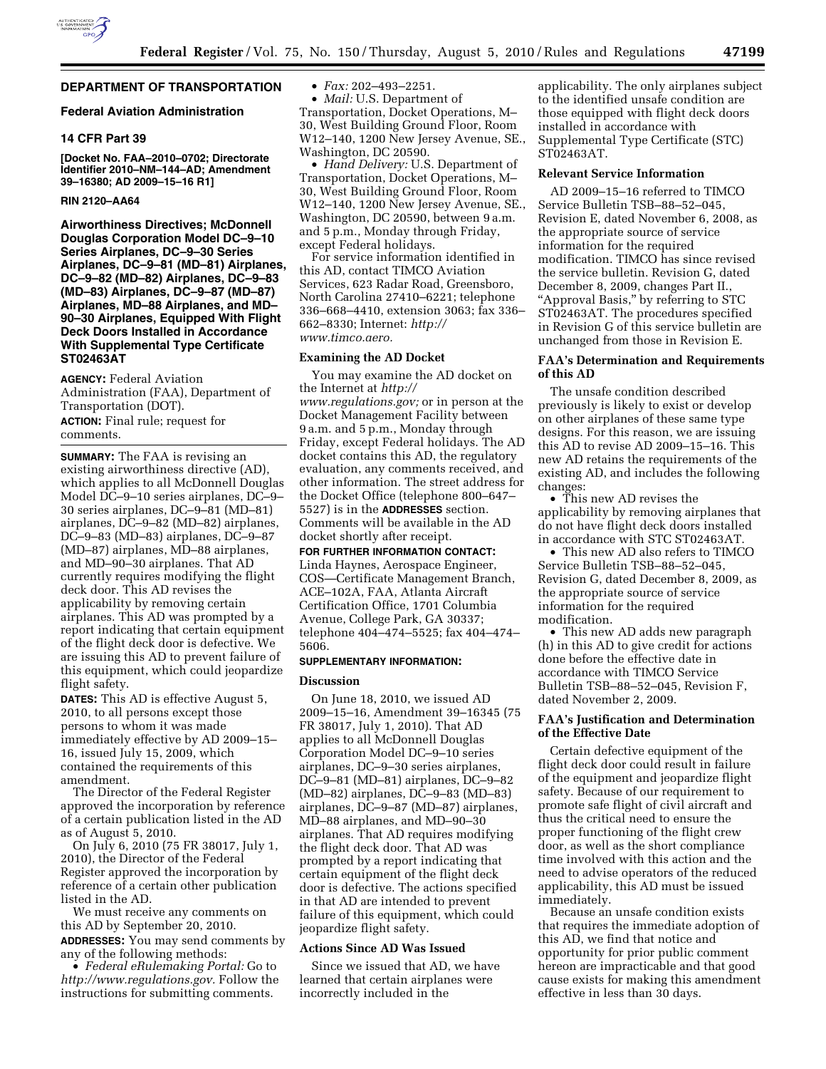

# **DEPARTMENT OF TRANSPORTATION**

# **Federal Aviation Administration**

## **14 CFR Part 39**

**[Docket No. FAA–2010–0702; Directorate Identifier 2010–NM–144–AD; Amendment 39–16380; AD 2009–15–16 R1]** 

### **RIN 2120–AA64**

**Airworthiness Directives; McDonnell Douglas Corporation Model DC–9–10 Series Airplanes, DC–9–30 Series Airplanes, DC–9–81 (MD–81) Airplanes, DC–9–82 (MD–82) Airplanes, DC–9–83 (MD–83) Airplanes, DC–9–87 (MD–87) Airplanes, MD–88 Airplanes, and MD– 90–30 Airplanes, Equipped With Flight Deck Doors Installed in Accordance With Supplemental Type Certificate ST02463AT** 

**AGENCY:** Federal Aviation Administration (FAA), Department of Transportation (DOT). **ACTION:** Final rule; request for

comments.

**SUMMARY:** The FAA is revising an existing airworthiness directive (AD), which applies to all McDonnell Douglas Model DC–9–10 series airplanes, DC–9– 30 series airplanes, DC–9–81 (MD–81) airplanes, DC–9–82 (MD–82) airplanes, DC–9–83 (MD–83) airplanes, DC–9–87 (MD–87) airplanes, MD–88 airplanes, and MD–90–30 airplanes. That AD currently requires modifying the flight deck door. This AD revises the applicability by removing certain airplanes. This AD was prompted by a report indicating that certain equipment of the flight deck door is defective. We are issuing this AD to prevent failure of this equipment, which could jeopardize flight safety.

**DATES:** This AD is effective August 5, 2010, to all persons except those persons to whom it was made immediately effective by AD 2009–15– 16, issued July 15, 2009, which contained the requirements of this amendment.

The Director of the Federal Register approved the incorporation by reference of a certain publication listed in the AD as of August 5, 2010.

On July 6, 2010 (75 FR 38017, July 1, 2010), the Director of the Federal Register approved the incorporation by reference of a certain other publication listed in the AD.

We must receive any comments on this AD by September 20, 2010. **ADDRESSES:** You may send comments by any of the following methods:

• *Federal eRulemaking Portal:* Go to *[http://www.regulations.gov.](http://www.regulations.gov)* Follow the instructions for submitting comments.

• *Fax:* 202–493–2251.

• *Mail:* U.S. Department of Transportation, Docket Operations, M– 30, West Building Ground Floor, Room W12–140, 1200 New Jersey Avenue, SE., Washington, DC 20590.

• *Hand Delivery:* U.S. Department of Transportation, Docket Operations, M– 30, West Building Ground Floor, Room W12–140, 1200 New Jersey Avenue, SE., Washington, DC 20590, between 9 a.m. and 5 p.m., Monday through Friday, except Federal holidays.

For service information identified in this AD, contact TIMCO Aviation Services, 623 Radar Road, Greensboro, North Carolina 27410–6221; telephone 336–668–4410, extension 3063; fax 336– 662–8330; Internet: *[http://](http://www.timco.aero)  [www.timco.aero.](http://www.timco.aero)* 

### **Examining the AD Docket**

You may examine the AD docket on the Internet at *[http://](http://www.regulations.gov)  [www.regulations.gov;](http://www.regulations.gov)* or in person at the Docket Management Facility between 9 a.m. and 5 p.m., Monday through Friday, except Federal holidays. The AD docket contains this AD, the regulatory evaluation, any comments received, and other information. The street address for the Docket Office (telephone 800–647– 5527) is in the **ADDRESSES** section. Comments will be available in the AD docket shortly after receipt.

**FOR FURTHER INFORMATION CONTACT:**  Linda Haynes, Aerospace Engineer, COS—Certificate Management Branch, ACE–102A, FAA, Atlanta Aircraft

Certification Office, 1701 Columbia Avenue, College Park, GA 30337; telephone 404–474–5525; fax 404–474– 5606.

### **SUPPLEMENTARY INFORMATION:**

### **Discussion**

On June 18, 2010, we issued AD 2009–15–16, Amendment 39–16345 (75 FR 38017, July 1, 2010). That AD applies to all McDonnell Douglas Corporation Model DC–9–10 series airplanes, DC–9–30 series airplanes, DC–9–81 (MD–81) airplanes, DC–9–82 (MD–82) airplanes, DC–9–83 (MD–83) airplanes, DC–9–87 (MD–87) airplanes, MD–88 airplanes, and MD–90–30 airplanes. That AD requires modifying the flight deck door. That AD was prompted by a report indicating that certain equipment of the flight deck door is defective. The actions specified in that AD are intended to prevent failure of this equipment, which could jeopardize flight safety.

# **Actions Since AD Was Issued**

Since we issued that AD, we have learned that certain airplanes were incorrectly included in the

applicability. The only airplanes subject to the identified unsafe condition are those equipped with flight deck doors installed in accordance with Supplemental Type Certificate (STC) ST02463AT.

# **Relevant Service Information**

AD 2009–15–16 referred to TIMCO Service Bulletin TSB–88–52–045, Revision E, dated November 6, 2008, as the appropriate source of service information for the required modification. TIMCO has since revised the service bulletin. Revision G, dated December 8, 2009, changes Part II., "Approval Basis," by referring to STC ST02463AT. The procedures specified in Revision G of this service bulletin are unchanged from those in Revision E.

# **FAA's Determination and Requirements of this AD**

The unsafe condition described previously is likely to exist or develop on other airplanes of these same type designs. For this reason, we are issuing this AD to revise AD 2009–15–16. This new AD retains the requirements of the existing AD, and includes the following changes:

• This new AD revises the applicability by removing airplanes that do not have flight deck doors installed in accordance with STC ST02463AT.

• This new AD also refers to TIMCO Service Bulletin TSB–88–52–045, Revision G, dated December 8, 2009, as the appropriate source of service information for the required modification.

• This new AD adds new paragraph (h) in this AD to give credit for actions done before the effective date in accordance with TIMCO Service Bulletin TSB–88–52–045, Revision F, dated November 2, 2009.

# **FAA's Justification and Determination of the Effective Date**

Certain defective equipment of the flight deck door could result in failure of the equipment and jeopardize flight safety. Because of our requirement to promote safe flight of civil aircraft and thus the critical need to ensure the proper functioning of the flight crew door, as well as the short compliance time involved with this action and the need to advise operators of the reduced applicability, this AD must be issued immediately.

Because an unsafe condition exists that requires the immediate adoption of this AD, we find that notice and opportunity for prior public comment hereon are impracticable and that good cause exists for making this amendment effective in less than 30 days.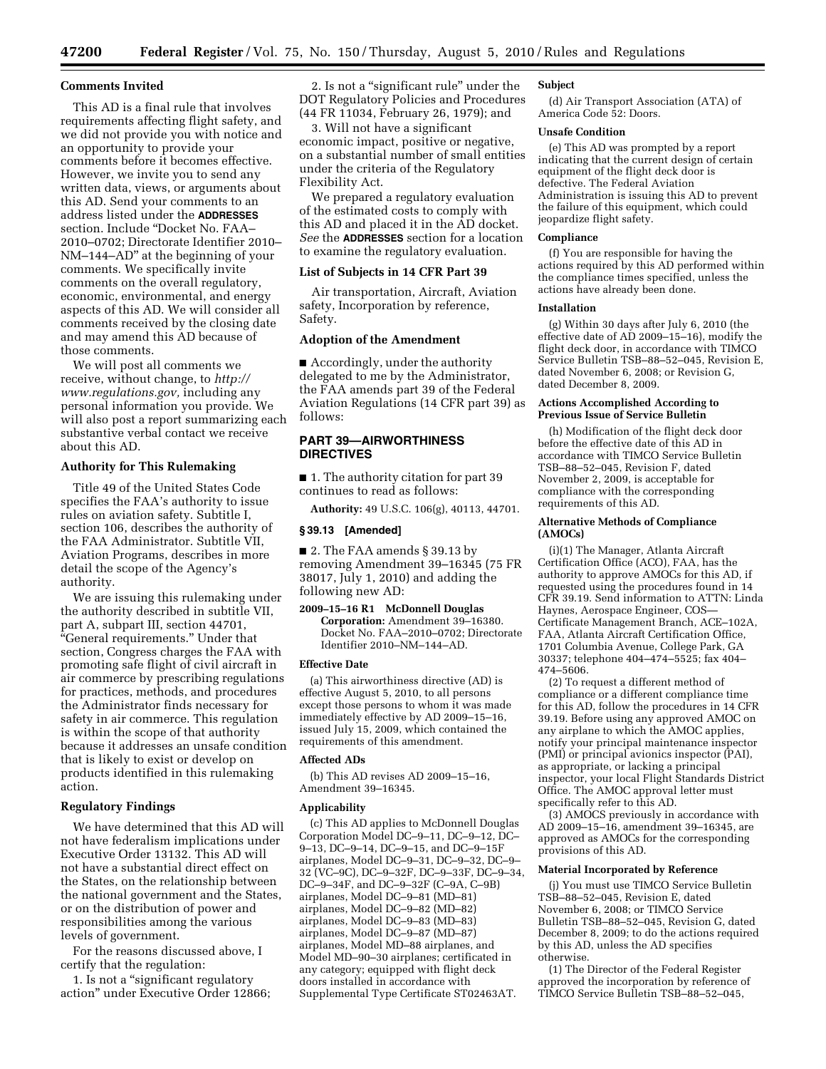#### **Comments Invited**

This AD is a final rule that involves requirements affecting flight safety, and we did not provide you with notice and an opportunity to provide your comments before it becomes effective. However, we invite you to send any written data, views, or arguments about this AD. Send your comments to an address listed under the **ADDRESSES** section. Include ''Docket No. FAA– 2010–0702; Directorate Identifier 2010– NM–144–AD'' at the beginning of your comments. We specifically invite comments on the overall regulatory, economic, environmental, and energy aspects of this AD. We will consider all comments received by the closing date and may amend this AD because of those comments.

We will post all comments we receive, without change, to *[http://](http://www.regulations.gov) [www.regulations.gov,](http://www.regulations.gov)* including any personal information you provide. We will also post a report summarizing each substantive verbal contact we receive about this AD.

# **Authority for This Rulemaking**

Title 49 of the United States Code specifies the FAA's authority to issue rules on aviation safety. Subtitle I, section 106, describes the authority of the FAA Administrator. Subtitle VII, Aviation Programs, describes in more detail the scope of the Agency's authority.

We are issuing this rulemaking under the authority described in subtitle VII, part A, subpart III, section 44701, ''General requirements.'' Under that section, Congress charges the FAA with promoting safe flight of civil aircraft in air commerce by prescribing regulations for practices, methods, and procedures the Administrator finds necessary for safety in air commerce. This regulation is within the scope of that authority because it addresses an unsafe condition that is likely to exist or develop on products identified in this rulemaking action.

## **Regulatory Findings**

We have determined that this AD will not have federalism implications under Executive Order 13132. This AD will not have a substantial direct effect on the States, on the relationship between the national government and the States, or on the distribution of power and responsibilities among the various levels of government.

For the reasons discussed above, I certify that the regulation:

1. Is not a ''significant regulatory action'' under Executive Order 12866;

2. Is not a "significant rule" under the DOT Regulatory Policies and Procedures (44 FR 11034, February 26, 1979); and

3. Will not have a significant economic impact, positive or negative, on a substantial number of small entities under the criteria of the Regulatory Flexibility Act.

We prepared a regulatory evaluation of the estimated costs to comply with this AD and placed it in the AD docket. *See* the **ADDRESSES** section for a location to examine the regulatory evaluation.

### **List of Subjects in 14 CFR Part 39**

Air transportation, Aircraft, Aviation safety, Incorporation by reference, Safety.

## **Adoption of the Amendment**

■ Accordingly, under the authority delegated to me by the Administrator, the FAA amends part 39 of the Federal Aviation Regulations (14 CFR part 39) as follows:

# **PART 39—AIRWORTHINESS DIRECTIVES**

■ 1. The authority citation for part 39 continues to read as follows:

**Authority:** 49 U.S.C. 106(g), 40113, 44701.

#### **§ 39.13 [Amended]**

■ 2. The FAA amends § 39.13 by removing Amendment 39–16345 (75 FR 38017, July 1, 2010) and adding the following new AD:

**2009–15–16 R1 McDonnell Douglas Corporation:** Amendment 39–16380. Docket No. FAA–2010–0702; Directorate Identifier 2010–NM–144–AD.

#### **Effective Date**

(a) This airworthiness directive (AD) is effective August 5, 2010, to all persons except those persons to whom it was made immediately effective by AD 2009–15–16, issued July 15, 2009, which contained the requirements of this amendment.

### **Affected ADs**

(b) This AD revises AD 2009–15–16, Amendment 39–16345.

#### **Applicability**

(c) This AD applies to McDonnell Douglas Corporation Model DC–9–11, DC–9–12, DC– 9–13, DC–9–14, DC–9–15, and DC–9–15F airplanes, Model DC–9–31, DC–9–32, DC–9– 32 (VC–9C), DC–9–32F, DC–9–33F, DC–9–34, DC–9–34F, and DC–9–32F (C–9A, C–9B) airplanes, Model DC–9–81 (MD–81) airplanes, Model DC–9–82 (MD–82) airplanes, Model DC–9–83 (MD–83) airplanes, Model DC–9–87 (MD–87) airplanes, Model MD–88 airplanes, and Model MD–90–30 airplanes; certificated in any category; equipped with flight deck doors installed in accordance with Supplemental Type Certificate ST02463AT.

### **Subject**

(d) Air Transport Association (ATA) of America Code 52: Doors.

## **Unsafe Condition**

(e) This AD was prompted by a report indicating that the current design of certain equipment of the flight deck door is defective. The Federal Aviation Administration is issuing this AD to prevent the failure of this equipment, which could jeopardize flight safety.

#### **Compliance**

(f) You are responsible for having the actions required by this AD performed within the compliance times specified, unless the actions have already been done.

#### **Installation**

(g) Within 30 days after July 6, 2010 (the effective date of AD 2009–15–16), modify the flight deck door, in accordance with TIMCO Service Bulletin TSB–88–52–045, Revision E, dated November 6, 2008; or Revision G, dated December 8, 2009.

#### **Actions Accomplished According to Previous Issue of Service Bulletin**

(h) Modification of the flight deck door before the effective date of this AD in accordance with TIMCO Service Bulletin TSB–88–52–045, Revision F, dated November 2, 2009, is acceptable for compliance with the corresponding requirements of this AD.

#### **Alternative Methods of Compliance (AMOCs)**

(i)(1) The Manager, Atlanta Aircraft Certification Office (ACO), FAA, has the authority to approve AMOCs for this AD, if requested using the procedures found in 14 CFR 39.19. Send information to ATTN: Linda Haynes, Aerospace Engineer, COS— Certificate Management Branch, ACE–102A, FAA, Atlanta Aircraft Certification Office, 1701 Columbia Avenue, College Park, GA 30337; telephone 404–474–5525; fax 404– 474–5606.

(2) To request a different method of compliance or a different compliance time for this AD, follow the procedures in 14 CFR 39.19. Before using any approved AMOC on any airplane to which the AMOC applies, notify your principal maintenance inspector (PMI) or principal avionics inspector (PAI), as appropriate, or lacking a principal inspector, your local Flight Standards District Office. The AMOC approval letter must specifically refer to this AD.

(3) AMOCS previously in accordance with AD 2009–15–16, amendment 39–16345, are approved as AMOCs for the corresponding provisions of this AD.

## **Material Incorporated by Reference**

(j) You must use TIMCO Service Bulletin TSB–88–52–045, Revision E, dated November 6, 2008; or TIMCO Service Bulletin TSB–88–52–045, Revision G, dated December 8, 2009; to do the actions required by this AD, unless the AD specifies otherwise.

(1) The Director of the Federal Register approved the incorporation by reference of TIMCO Service Bulletin TSB–88–52–045,